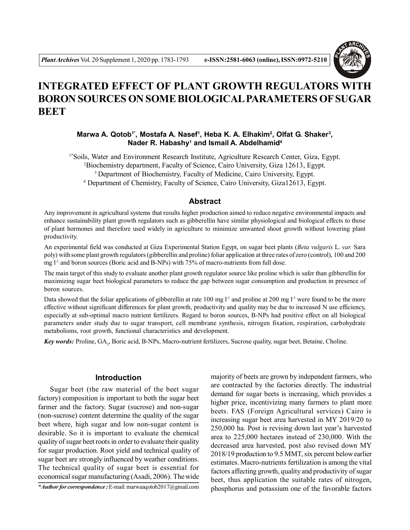

# **INTEGRATED EFFECT OF PLANT GROWTH REGULATORS WITH BORON SOURCES ON SOME BIOLOGICAL PARAMETERS OF SUGAR BEET**

**Marwa A. Qotob1\* , Mostafa A. Nasef<sup>1</sup> , Heba K. A. Elhakim<sup>2</sup> , Olfat G. Shaker<sup>3</sup> , Nader R. Habashy<sup>1</sup> and Ismail A. Abdelhamid<sup>4</sup>**

1\*Soils, Water and Environment Research Institute, Agriculture Research Center, Giza, Egypt. <sup>2</sup>Biochemistry department, Faculty of Science, Cairo University, Giza 12613, Egypt. <sup>3</sup> Department of Biochemistry, Faculty of Medicine, Cairo University, Egypt. 4 Department of Chemistry, Faculty of Science, Cairo University, Giza12613, Egypt.

#### **Abstract**

Any improvement in agricultural systems that results higher production aimed to reduce negative environmental impacts and enhance sustainability plant growth regulators such as gibberellin have similar physiological and biological effects to those of plant hormones and therefore used widely in agriculture to minimize unwanted shoot growth without lowering plant productivity.

An experimental field was conducted at Giza Experimental Station Egypt, on sugar beet plants (*Beta vulgaris* L. *var.* Sara poly) with some plant growth regulators (gibberellin and proline) foliar application at three rates of zero (control), 100 and 200 mg  $l<sup>-1</sup>$  and boron sources (Boric acid and B-NPs) with 75% of macro-nutrients from full dose.

The main target of this study to evaluate another plant growth regulator source like proline which is safer than gibberellin for maximizing sugar beet biological parameters to reduce the gap between sugar consumption and production in presence of boron sources.

Data showed that the foliar applications of gibberellin at rate 100 mg  $1<sup>-1</sup>$  and proline at 200 mg  $1<sup>-1</sup>$  were found to be the more effective without significant differences for plant growth, productivity and quality may be due to increased N use efficiency, especially at sub-optimal macro nutrient fertilizers. Regard to boron sources, B-NPs had positive effect on all biological parameters under study due to sugar transport, cell membrane synthesis, nitrogen fixation, respiration, carbohydrate metabolisms, root growth, functional characteristics and development.

Key words: Proline, GA<sub>3</sub>, Boric acid, B-NPs, Macro-nutrient fertilizers, Sucrose quality, sugar beet, Betaine, Choline.

#### **Introduction**

Sugar beet (the raw material of the beet sugar factory) composition is important to both the sugar beet farmer and the factory. Sugar (sucrose) and non-sugar (non-sucrose) content determine the quality of the sugar beet where, high sugar and low non-sugar content is desirable. So it is important to evaluate the chemical quality of sugar beet roots in order to evaluate their quality for sugar production. Root yield and technical quality of sugar beet are strongly influenced by weather conditions. The technical quality of sugar beet is essential for economical sugar manufacturing (Asadi, 2006). The wide

*\*Author for correspondence :* E-mail: marwaaqotob2017@gmail.com

majority of beets are grown by independent farmers, who are contracted by the factories directly. The industrial demand for sugar beets is increasing, which provides a higher price, incentivizing many farmers to plant more beets. FAS (Foreign Agricultural services) Cairo is increasing sugar beet area harvested in MY 2019/20 to 250,000 ha. Post is revising down last year's harvested area to 225,000 hectares instead of 230,000. With the decreased area harvested, post also revised down MY 2018/19 production to 9.5 MMT, six percent below earlier estimates. Macro-nutrients fertilization is among the vital factors affecting growth, quality and productivity of sugar beet, thus application the suitable rates of nitrogen, phosphorus and potassium one of the favorable factors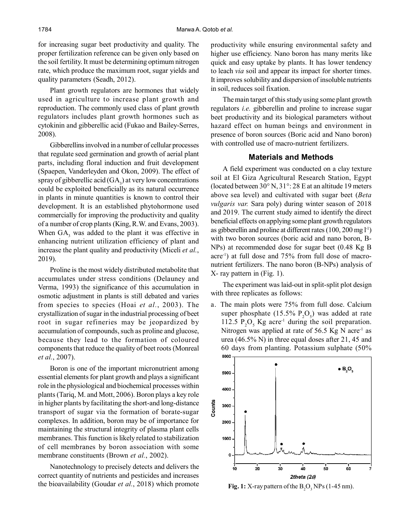for increasing sugar beet productivity and quality. The proper fertilization reference can be given only based on the soil fertility. It must be determining optimum nitrogen rate, which produce the maximum root, sugar yields and quality parameters (Seadh, 2012).

Plant growth regulators are hormones that widely used in agriculture to increase plant growth and reproduction. The commonly used class of plant growth regulators includes plant growth hormones such as cytokinin and gibberellic acid (Fukao and Bailey-Serres, 2008).

Gibberellins involved in a number of cellular processes that regulate seed germination and growth of aerial plant parts, including floral induction and fruit development (Spaepen, Vanderleyden and Okon, 2009). The effect of spray of gibberellic acid  $(GA_3)$  at very low concentrations could be exploited beneficially as its natural occurrence in plants in minute quantities is known to control their development. It is an established phytohormone used commercially for improving the productivity and quality of a number of crop plants (King, R.W. and Evans, 2003). When  $GA_3$  was added to the plant it was effective in enhancing nutrient utilization efficiency of plant and increase the plant quality and productivity (Miceli *et al.*, 2019).

Proline is the most widely distributed metabolite that accumulates under stress conditions (Delauney and Verma, 1993) the significance of this accumulation in osmotic adjustment in plants is still debated and varies from species to species (Hoai *et al.*, 2003). The crystallization of sugar in the industrial processing of beet root in sugar refineries may be jeopardized by accumulation of compounds, such as proline and glucose, because they lead to the formation of coloured components that reduce the quality of beet roots (Monreal *et al.*, 2007).

Boron is one of the important micronutrient among essential elements for plant growth and plays a significant role in the physiological and biochemical processes within plants (Tariq, M. and Mott, 2006). Boron plays a key role in higher plants by facilitating the short-and long-distance transport of sugar via the formation of borate-sugar complexes. In addition, boron may be of importance for maintaining the structural integrity of plasma plant cells membranes. This function is likely related to stabilization of cell membranes by boron association with some membrane constituents (Brown *et al.*, 2002).

Nanotechnology to precisely detects and delivers the correct quantity of nutrients and pesticides and increases the bioavailability (Goudar *et al.*, 2018) which promote productivity while ensuring environmental safety and higher use efficiency. Nano boron has many merits like quick and easy uptake by plants. It has lower tendency to leach *via* soil and appear its impact for shorter times. It improves solubility and dispersion of insoluble nutrients in soil, reduces soil fixation.

The main target of this study using some plant growth regulators *i.e.* gibberellin and proline to increase sugar beet productivity and its biological parameters without hazard effect on human beings and environment in presence of boron sources (Boric acid and Nano boron) with controlled use of macro-nutrient fertilizers.

#### **Materials and Methods**

A field experiment was conducted on a clay texture soil at El Giza Agricultural Research Station, Egypt (located between 30° N, 31°: 28 E at an altitude 19 meters above sea level) and cultivated with sugar beet (*Beta vulgaris var.* Sara poly) during winter season of 2018 and 2019. The current study aimed to identify the direct beneficial effects on applying some plant growth regulators as gibberellin and proline at different rates  $(100, 200 \text{ mg } l^1)$ with two boron sources (boric acid and nano boron, B-NPs) at recommended dose for sugar beet (0.48 Kg B acre<sup>-1</sup>) at full dose and  $75%$  from full dose of macronutrient fertilizers. The nano boron (B-NPs) analysis of X- ray pattern in (Fig. 1).

The experiment was laid-out in split-split plot design with three replicates as follows:

a. The main plots were 75% from full dose. Calcium super phosphate  $(15.5\% \text{ P}_2\text{O}_5)$  was added at rate 112.5  $P_2O_5$  Kg acre<sup>-1</sup> during the soil preparation. Nitrogen was applied at rate of 56.5 Kg N acre<sup>-1</sup> as urea (46.5% N) in three equal doses after 21, 45 and 60 days from planting. Potassium sulphate (50% 6000



Fig. 1: X-ray pattern of the  $B_2O_2$  NPs (1-45 nm).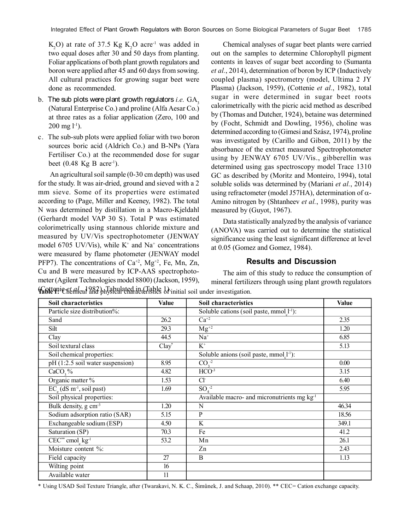$K<sub>2</sub>O$ ) at rate of 37.5 Kg  $K<sub>2</sub>O$  acre<sup>-1</sup> was added in two equal doses after 30 and 50 days from planting. Foliar applications of both plant growth regulators and boron were applied after 45 and 60 days from sowing. All cultural practices for growing sugar beet were done as recommended.

- b. The sub plots were plant growth regulators  $i.e.$   $GA<sub>3</sub>$ (Natural Enterprise Co.) and proline (Alfa Aesar Co.) at three rates as a foliar application (Zero, 100 and  $200 \text{ mg } l^{-1}$ ).
- c. The sub-sub plots were applied foliar with two boron sources boric acid (Aldrich Co.) and B-NPs (Yara Fertiliser Co.) at the recommended dose for sugar beet  $(0.48 \text{ Kg B acre}^{-1})$ .

An agricultural soil sample (0-30 cm depth) was used for the study. It was air-dried, ground and sieved with a 2 mm sieve. Some of its properties were estimated according to (Page, Miller and Keeney, 1982). The total N was determined by distillation in a Macro-Kjeldahl (Gerhardt model VAP 30 S). Total P was estimated colorimetrically using stannous chloride mixture and measured by UV/Vis spectrophotometer (JENWAY model 6705 UV/Vis), while  $K^+$  and Na<sup>+</sup> concentrations were measured by flame photometer (JENWAY model PFP7). The concentrations of  $Ca^{+2}$ ,  $Mg^{+2}$ , Fe, Mn, Zn, Cu and B were measured by ICP-AAS spectrophotometer (Agilent Technologies model 8800) (Jackson, 1959),

Chemical analyses of sugar beet plants were carried out on the samples to determine Chlorophyll pigment contents in leaves of sugar beet according to (Sumanta *et al.*, 2014), determination of boron by ICP (Inductively coupled plasma) spectrometry (model, Ultima 2 JY Plasma) (Jackson, 1959), (Cottenie *et al.*, 1982), total sugar in were determined in sugar beet roots calorimetrically with the picric acid method as described by (Thomas and Dutcher, 1924), betaine was determined by (Focht, Schmidt and Dowling, 1956), choline was determined according to (Gimesi and Szász, 1974), proline was investigated by (Carillo and Gibon, 2011) by the absorbance of the extract measured Spectrophotometer using by JENWAY 6705 UV/Vis., gibberellin was determined using gas spectroscopy model Trace 1310 GC as described by (Moritz and Monteiro, 1994), total soluble solids was determined by (Mariani *et al.*, 2014) using refractometer (model J57HA), determination of  $\alpha$ -Amino nitrogen by (Shtanheev *et al.*, 1998), purity was measured by (Guyot, 1967).

Data statistically analyzed by the analysis of variance (ANOVA) was carried out to determine the statistical significance using the least significant difference at level at 0.05 (Gomez and Gomez, 1984).

# **Results and Discussion**

The aim of this study to reduce the consumption of mineral fertilizers through using plant growth regulators

| <b>Soil characteristics</b>                                     | Value    | <b>Soil characteristics</b>                                     | Value |
|-----------------------------------------------------------------|----------|-----------------------------------------------------------------|-------|
| Particle size distribution%:                                    |          | Soluble cations (soil paste, mmol <sub>1</sub> <sup>-1</sup> ): |       |
| Sand                                                            | 26.2     | $Ca^{+2}$                                                       | 2.35  |
| Silt                                                            | 29.3     | $\overline{\text{Mg}^{+2}}$                                     | 1.20  |
| Clay                                                            | 44.5     | $Na+$                                                           | 6.85  |
| Soil textural class                                             | $Clav^*$ | $\mathrm{K}^{\scriptscriptstyle{+}}$                            | 5.13  |
| Soil chemical properties:                                       |          | Soluble anions (soil paste, mmol <sub>11</sub> ):               |       |
| $pH(1:2.5)$ soil water suspension)                              | 8.95     | $CO2-2$                                                         | 0.00  |
| $CaCO, \%$                                                      | 4.82     | HCO <sup>3</sup>                                                | 3.15  |
| Organic matter %                                                | 1.53     | $Cl-$                                                           | 6.40  |
| $EC_{\alpha}$ (dS m <sup>-1</sup> , soil past)                  | 1.69     | $SOA-2$                                                         | 5.95  |
| Soil physical properties:                                       |          | Available macro- and micronutrients mg kg <sup>-1</sup>         |       |
| Bulk density, g cm <sup>-3</sup>                                | 1.20     | N                                                               | 46.34 |
| Sodium adsorption ratio (SAR)                                   | 5.15     | $\mathbf{P}$                                                    | 18.56 |
| Exchangeable sodium (ESP)                                       | 4.50     | $\overline{\mathbf{K}}$                                         | 349.1 |
| Saturation (SP)                                                 | 70.3     | Fe                                                              | 41.2  |
| $\overline{\text{CEC}^{**}}$ cmol <sub>c</sub> kg <sup>-1</sup> | 53.2     | Mn                                                              | 26.1  |
| Moisture content %:                                             |          | Zn                                                              | 2.43  |
| Field capacity                                                  | 27       | B                                                               | 1.13  |
| Wilting point                                                   | 16       |                                                                 |       |
| Available water                                                 | 11       |                                                                 |       |

(Cottenie *et al.*, 1982), Tabulated in (Table 1). **Table 1:** Chemical and physical characteristics of initial soil under investigation.

\* Using USAD Soil Texture Triangle, after (Twarakavi, N. K. C., Šimůnek, J. and Schaap, 2010). \*\* CEC= Cation exchange capacity.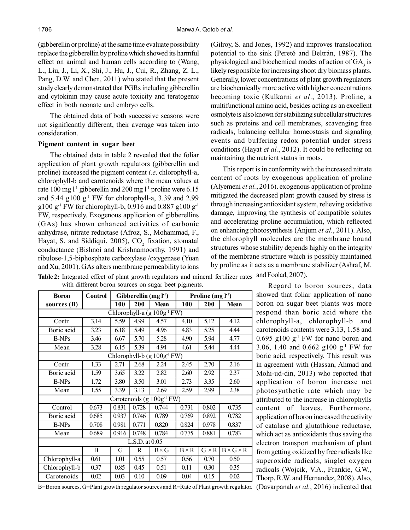(gibberellin or proline) at the same time evaluate possibility replace the gibberellin by proline which showed its harmful effect on animal and human cells according to (Wang, L., Liu, J., Li, X., Shi, J., Hu, J., Cui, R., Zhang, Z. L., Pang, D.W. and Chen, 2011) who stated that the present study clearly demonstrated that PGRs including gibberellin and cytokinin may cause acute toxicity and teratogenic effect in both neonate and embryo cells.

The obtained data of both successive seasons were not significantly different, their average was taken into consideration.

#### **Pigment content in sugar beet**

The obtained data in table 2 revealed that the foliar application of plant growth regulators (gibberellin and proline) increased the pigment content *i.e*. chlorophyll-a, chlorophyll-b and carotenoids where the mean values at rate 100 mg l<sup>-1</sup> gibberellin and 200 mg l<sup>-1</sup> proline were 6.15 and 5.44 g100 g-1 FW for chlorophyll-a, 3.39 and 2.99  $g100 g^{-1}$  FW for chlorophyll-b, 0.916 and 0.887 g100 g<sup>-1</sup> FW, respectively. Exogenous application of gibberellins (GAs) has shown enhanced activities of carbonic anhydrase, nitrate reductase (Afroz, S., Mohammad, F., Hayat, S. and Siddiqui, 2005),  $CO<sub>2</sub>$  fixation, stomatal conductance (Bishnoi and Krishnamoorthy, 1991) and ribulose-1,5-biphosphate carboxylase /oxygenase (Yuan and Xu, 2001). GAs alters membrane permeability to ions

(Gilroy, S. and Jones, 1992) and improves translocation potential to the sink (Peretó and Beltrán, 1987). The physiological and biochemical modes of action of  $GA_3$  is likely responsible for increasing shoot dry biomass plants. Generally, lower concentrations of plant growth regulators are biochemically more active with higher concentrations becoming toxic (Kulkarni *et al*., 2013). Proline, a multifunctional amino acid, besides acting as an excellent osmolyte is also known for stabilizing subcellular structures such as proteins and cell membranes, scavenging free radicals, balancing cellular homeostasis and signaling events and buffering redox potential under stress conditions (Hayat *et al.*, 2012). It could be reflecting on maintaining the nutrient status in roots.

This report is in conformity with the increased nitrate content of roots by exogenous application of proline (Alyemeni *et al.*, 2016). exogenous application of proline mitigated the decreased plant growth caused by stress is through increasing antioxidant system, relieving oxidative damage, improving the synthesis of compatible solutes and accelerating proline accumulation, which reflected on enhancing photosynthesis (Anjum *et al.*, 2011). Also, the chlorophyll molecules are the membrane bound structures whose stability depends highly on the integrity of the membrane structure which is possibly maintained by proline as it acts as a membrane stabilizer (Ashraf, M.

Table 2: Integrated effect of plant growth regulators and mineral fertilizer rates and Foolad, 2007). with different boron sources on sugar beet pigments.

Regard to boron sources, data showed that foliar application of nano boron on sugar beet plants was more respond than boric acid where the chlorophyll-a, chlorophyll-b and carotenoids contents were 3.13, 1.58 and  $0.695$  g100 g<sup>-1</sup> FW for nano boron and 3.06, 1.40 and 0.662 g100 g-1 FW for boric acid, respectively. This result was in agreement with (Hassan, Ahmad and Mohi-ud-din, 2013) who reported that application of boron increase net photosynthetic rate which may be attributed to the increase in chlorophylls content of leaves. Furthermore, application of boron increased the activity of catalase and glutathione reductase, which act as antioxidants thus saving the electron transport mechanism of plant from getting oxidized by free radicals like superoxide radicals, singlet oxygen radicals (Wojcik, V.A., Frankie, G.W., Thorp, R.W. and Hernandez, 2008). Also, (Davarpanah *et al.*, 2016) indicated that

| B=Boron sources, G=Plant growth regulator sources and R=Rate of Plant growth regulator. |  |  |  |
|-----------------------------------------------------------------------------------------|--|--|--|
|                                                                                         |  |  |  |

| <b>Boron</b>                | <b>Control</b> | Gibberellin $(mg l-1)$ |       |                                       |              | Proline $(mg l-1)$ |                       |  |  |  |
|-----------------------------|----------------|------------------------|-------|---------------------------------------|--------------|--------------------|-----------------------|--|--|--|
| sources (B)                 |                | 100                    | 200   | <b>Mean</b>                           | 100          | 200                | <b>Mean</b>           |  |  |  |
| Chlorophyll-a (g 100g-1 FW) |                |                        |       |                                       |              |                    |                       |  |  |  |
| Contr.                      | 3.14           | 5.59                   | 4.99  | 4.57                                  | 4.10         | 5.12               | 4.12                  |  |  |  |
| Boric acid                  | 3.23           | 6.18                   | 5.49  | 4.96                                  | 4.83         | 5.25               | 4.44                  |  |  |  |
| <b>B-NPs</b>                | 3.46           | 6.67                   | 5.70  | 5.28                                  | 4.90         | 5.94               | 4.77                  |  |  |  |
| Mean                        | 3.28           | 6.15                   | 5.39  | 4.94                                  | 4.61         | 5.44               | 4.44                  |  |  |  |
|                             |                |                        |       | Chlorophyll-b $(g 100g^{-1}FW)$       |              |                    |                       |  |  |  |
| Contr.                      | 1.33           | 2.71                   | 2.68  | 2.24                                  | 2.45         | 2.70               | 2.16                  |  |  |  |
| Boric acid                  | 1.59           | 3.65                   | 3.22  | 2.82                                  | 2.60         | 2.92               | 2.37                  |  |  |  |
| <b>B-NPs</b>                | 1.72           | 3.80                   | 3.50  | 3.01                                  | 2.73         | 3.35               | 2.60                  |  |  |  |
| Mean                        | 1.55           | 3.39                   | 3.13  | 2.69                                  | 2.59         | 2.99               | 2.38                  |  |  |  |
|                             |                |                        |       | Carotenoids (g 100g <sup>-1</sup> FW) |              |                    |                       |  |  |  |
| Control                     | 0.673          | 0.831                  | 0.728 | 0.744                                 | 0.731        | 0.802              | 0.735                 |  |  |  |
| Boric acid                  | 0.685          | 0.937                  | 0.746 | 0.789                                 | 0.769        | 0.892              | 0.782                 |  |  |  |
| <b>B-NPs</b>                | 0.708          | 0.981                  | 0.771 | 0.820                                 | 0.824        | 0.978              | 0.837                 |  |  |  |
| Mean                        | 0.689          | 0.916                  | 0.748 | 0.784                                 | 0.775        | 0.881              | 0.783                 |  |  |  |
| $L.S.D.$ at $0.05$          |                |                        |       |                                       |              |                    |                       |  |  |  |
|                             | B              | G                      | R     | $B \times G$                          | $B \times R$ | $G \times R$       | $B \times G \times R$ |  |  |  |
| Chlorophyll-a               | 0.61           | 1.01                   | 0.55  | 0.57                                  | 0.56         | 0.70               | 0.50                  |  |  |  |
| Chlorophyll-b               | 0.37           | 0.85                   | 0.45  | 0.51                                  | 0.11         | 0.30               | 0.35                  |  |  |  |
| Carotenoids                 | 0.02           | 0.03                   | 0.10  | 0.09                                  | 0.04         | 0.15               | 0.02                  |  |  |  |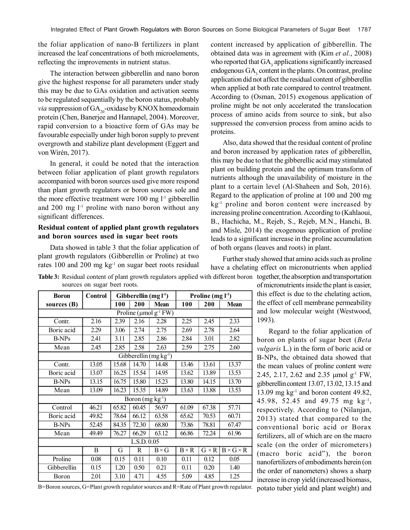the foliar application of nano-B fertilizers in plant increased the leaf concentrations of both microelements, reflecting the improvements in nutrient status.

The interaction between gibberellin and nano boron give the highest response for all parameters under study this may be due to GAs oxidation and activation seems to be regulated sequentially by the boron status, probably *via* suppression of  $GA_{20}$ -oxidase by KNOX homeodomain protein (Chen, Banerjee and Hannapel, 2004). Moreover, rapid conversion to a bioactive form of GAs may be favourable especially under high boron supply to prevent overgrowth and stabilize plant development (Eggert and von Wirén, 2017).

In general, it could be noted that the interaction between foliar application of plant growth regulators accompanied with boron sources used give more respond than plant growth regulators or boron sources sole and the more effective treatment were 100 mg l<sup>-1</sup> gibberellin and  $200 \text{ mg } l^1$  proline with nano boron without any significant differences.

## **Residual content of applied plant growth regulators and boron sources used in sugar beet roots**

Data showed in table 3 that the foliar application of plant growth regulators (Gibberellin or Proline) at two rates 100 and 200 mg kg<sup>-1</sup> on sugar beet roots residual

**sources** (**B**)

Boric acid  $\begin{array}{|c} \hline \end{array}$  2.29

Boric acid  $\begin{array}{|c|c|} \hline \end{array}$  13.07

Boric acid  $\overline{49.82}$ 

Gibberellin 0.15

content increased by application of gibberellin. The obtained data was in agreement with (Kim *et al.*, 2008) who reported that  $GA_3$  applications significantly increased endogenous  $GA_3$  content in the plants. On contrast, proline application did not affect the residual content of gibberellin when applied at both rate compared to control treatment. According to (Osman, 2015) exogenous application of proline might be not only accelerated the translocation process of amino acids from source to sink, but also suppressed the conversion process from amino acids to proteins.

Also, data showed that the residual content of proline and boron increased by application rates of gibberellin, this may be due to that the gibberellic acid may stimulated plant on building protein and the optimum transform of nutrients although the unavailability of moisture in the plant to a certain level (Al-Shaheen and Soh, 2016). Regard to the application of proline at 100 and 200 mg kg<sup>-1</sup> proline and boron content were increased by increasing proline concentration. According to (Kahlaoui, B., Hachicha, M., Rejeb, S., Rejeb, M.N., Hanchi, B. and Misle, 2014) the exogenous application of proline leads to a significant increase in the proline accumulation of both organs (leaves and roots) in plant.

Further study showed that amino acids such as proline have a chelating effect on micronutrients when applied

I increase in crop yield (increased biomass,

**Table 3:** Residual content of plant growth regulators applied with different boron together, the absorption and transportation sources on sugar beet roots. of micronutrients inside the plant is easier,

| <b>Boron</b> | <b>Control</b> |       | Gibberellin $(mg l-1)$ |                                         | Proline $(mg l-1)$ |              |                       | this effect is due to the chelating action,        |
|--------------|----------------|-------|------------------------|-----------------------------------------|--------------------|--------------|-----------------------|----------------------------------------------------|
| urces (B)    |                | 100   | 200                    | <b>Mean</b>                             | 100                | <b>200</b>   | <b>Mean</b>           | the effect of cell membrane permeability           |
|              |                |       |                        | Proline ( $\mu$ mol g <sup>-1</sup> FW) |                    |              |                       | and low molecular weight (Westwood,                |
| Contr.       | 2.16           | 2.39  | 2.16                   | 2.28                                    | 2.25               | 2.45         | 2.33                  | 1993).                                             |
| oric acid    | 2.29           | 3.06  | 2.74                   | 2.75                                    | 2.69               | 2.78         | 2.64                  | Regard to the foliar application of                |
| <b>B-NPs</b> | 2.41           | 3.11  | 2.85                   | 2.86                                    | 2.84               | 3.01         | 2.82                  | boron on plants of sugar beet (Beta                |
| Mean         | 2.45           | 2.85  | 2.58                   | 2.63                                    | 2.59               | 2.75         | 2.60                  | <i>vulgaris</i> L.) in the form of boric acid or   |
|              |                |       |                        | Gibberellin (mg kg-1)                   |                    |              |                       | B-NPs, the obtained data showed that               |
| Contr.       | 13.05          | 15.68 | 14.70                  | 14.48                                   | 13.46              | 13.61        | 13.37                 | the mean values of proline content were            |
| oric acid    | 13.07          | 16.25 | 15.54                  | 14.95                                   | 13.62              | 13.89        | 13.53                 | 2.45, 2.17, 2.62 and 2.35 µmol g <sup>-1</sup> FW, |
| B-NPs        | 13.15          | 16.75 | 15.80                  | 15.23                                   | 13.80              | 14.15        | 13.70                 | gibberellin content 13.07, 13.02, 13.15 and        |
| Mean         | 13.09          | 16.23 | 15.35                  | 14.89                                   | 13.63              | 13.88        | 13.53                 | 13.09 mg $kg^{-1}$ and boron content 49.82,        |
|              |                |       | Boron $(mg kg-1)$      |                                         |                    |              |                       | 45.98, 52.45 and 49.75 mg kg <sup>-1</sup> ,       |
| Control      | 46.21          | 65.82 | 60.45                  | 56.97                                   | 61.09              | 67.38        | 57.71                 | respectively. According to (Nilanjan,              |
| oric acid    | 49.82          | 78.64 | 66.12                  | 63.58                                   | 65.62              | 70.53        | 60.71                 | 2013) stated that compared to the                  |
| B-NPs        | 52.45          | 84.35 | 72.30                  | 68.80                                   | 73.86              | 78.81        | 67.47                 | conventional boric acid or Borax                   |
| Mean         | 49.49          | 76.27 | 66.29                  | 63.12                                   | 66.86              | 72.24        | 61.96                 | fertilizers, all of which are on the macro         |
|              |                |       | L.S.D. 0.05            |                                         |                    |              |                       | scale (on the order of micrometers)                |
|              | B              | G     | R                      | $B \times G$                            | $B \times R$       | $G \times R$ | $B \times G \times R$ | (macro boric acid"), the boron                     |
| Proline      | 0.08           | 0.15  | 0.11                   | 0.10                                    | 0.11               | 0.12         | 0.05                  | nanofertilizers of embodiments herein (on          |
| ibberellin   | 0.15           | 1.20  | 0.50                   | 0.21                                    | 0.11               | 0.20         | 1.40                  | the order of nanometers) shows a sharp             |
| Boron        | 2.01           | 3.10  | 4.71                   | 4.55                                    | 5.09               | 4.85         | 1.25                  | in success in susu sus14 Guenessed biomesse        |

B=Boron sources, G=Plant growth regulator sources and R=Rate of Plant growth regulator. potato tuber yield and plant weight) and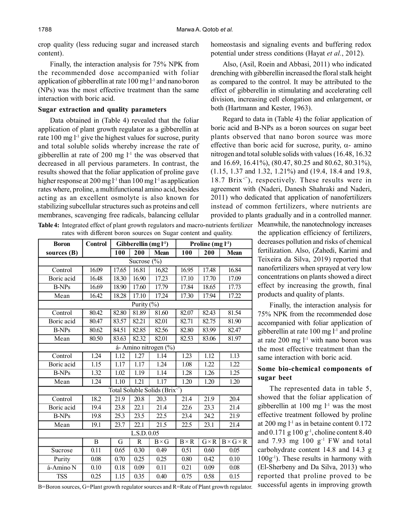crop quality (less reducing sugar and increased starch content).

Finally, the interaction analysis for 75% NPK from the recommended dose accompanied with foliar application of gibberellin at rate  $100 \text{ mg} \cdot 1 \cdot 1$  and nano boron (NPs) was the most effective treatment than the same interaction with boric acid.

### **Sugar extraction and quality parameters**

Data obtained in (Table 4) revealed that the foliar application of plant growth regulator as a gibberellin at rate  $100 \text{ mg } l^1$  give the highest values for sucrose, purity and total soluble solids whereby increase the rate of gibberellin at rate of 200 mg  $l<sup>-1</sup>$  the was observed that decreased in all pervious parameters. In contrast, the results showed that the foliar application of proline gave higher response at 200 mg  $l^{-1}$  than 100 mg  $l^{-1}$  as application rates where, proline, a multifunctional amino acid, besides acting as an excellent osmolyte is also known for stabilizing subcellular structures such as proteins and cell membranes, scavenging free radicals, balancing cellular

**Table 4:** Integrated effect of plant growth regulators and macro-nutrients fertilizer Meanwhile, the nanotechnology increases rates with different boron sources on Sugar content and quality.

| <b>Boron</b>      | <b>Control</b> | Gibberellin $(mg l-1)$ |                        |                                            | Proline $(mg l-1)$ |              |                       |  |  |  |
|-------------------|----------------|------------------------|------------------------|--------------------------------------------|--------------------|--------------|-----------------------|--|--|--|
| sources (B)       |                | 100                    | 200                    | <b>Mean</b>                                | 100                | 200          | <b>Mean</b>           |  |  |  |
| Sucrose $(\% )$   |                |                        |                        |                                            |                    |              |                       |  |  |  |
| Control           | 16.09          | 17.65                  | 16.81                  | 16,82                                      | 16.95              | 17.48        | 16.84                 |  |  |  |
| <b>Boric</b> acid | 16.48          | 18.30                  | 16.90                  | 17.23                                      | 17.10              | 17.70        | 17.09                 |  |  |  |
| <b>B-NPs</b>      | 16.69          | 18.90                  | 17.60                  | 17.79                                      | 17.84              | 18.65        | 17.73                 |  |  |  |
| Mean              | 16.42          | 18.28                  | 17.10                  | 17.24                                      | 17.30              | 17.94        | 17.22                 |  |  |  |
|                   |                |                        | Purity $(\frac{9}{6})$ |                                            |                    |              |                       |  |  |  |
| Control           | 80.42          | 82.80                  | 81.89                  | 81.60                                      | 82.07              | 82.43        | 81.54                 |  |  |  |
| Boric acid        | 80.47          | 83.57                  | 82.21                  | 82.01                                      | 82.71              | 82.75        | 81.90                 |  |  |  |
| <b>B-NPs</b>      | 80.62          | 84.51                  | 82.85                  | 82.56                                      | 82.80              | 83.99        | 82.47                 |  |  |  |
| Mean              | 80.50          | 83.63                  | 82.32                  | 82.01                                      | 82.53              | 83.06        | 81.97                 |  |  |  |
|                   |                |                        |                        | á-Amino nitrogen (%)                       |                    |              |                       |  |  |  |
| Control           | 1.24           | 1.12                   | $\overline{1.27}$      | 1.14                                       | 1.23               | 1.12         | 1.13                  |  |  |  |
| Boric acid        | 1.15           | 1.17                   | 1.17                   | 1.24                                       | 1.08               | 1.22         | 1.22                  |  |  |  |
| <b>B-NPs</b>      | 1.32           | 1.02                   | 1.19                   | 1.14                                       | 1.28               | 1.26         | 1.25                  |  |  |  |
| Mean              | 1.24           | 1.10                   | 1.21                   | $\overline{1.17}$                          | 1.20               | 1.20         | 1.20                  |  |  |  |
|                   |                |                        |                        | Total Soluble Solids (Brix <sup>e®</sup> ) |                    |              |                       |  |  |  |
| Control           | 18.2           | 21.9                   | 20.8                   | 20.3                                       | 21.4               | 21.9         | 20.4                  |  |  |  |
| Boric acid        | 19.4           | 23.8                   | 22.1                   | 21.4                                       | 22.6               | 23.3         | 21.4                  |  |  |  |
| <b>B-NPs</b>      | 19.8           | 25.3                   | 23.5                   | 22.5                                       | 23.4               | 24.2         | 21.9                  |  |  |  |
| Mean              | 19.1           | 23.7                   | 22.1                   | 21.5                                       | 22.5               | 23.1         | 21.4                  |  |  |  |
| L.S.D. 0.05       |                |                        |                        |                                            |                    |              |                       |  |  |  |
|                   | B              | G                      | R                      | $B \times G$                               | $B \times R$       | $G \times R$ | $B \times G \times R$ |  |  |  |
| Sucrose           | 0.11           | 0.65                   | 0.30                   | 0.49                                       | 0.51               | 0.60         | 0.05                  |  |  |  |
| Purity            | 0.08           | 0.70                   | 0.25                   | 0.25                                       | 0.80               | 0.42         | 0.10                  |  |  |  |
| $á$ -Amino N      | 0.10           | 0.18                   | 0.09                   | 0.11                                       | 0.21               | 0.09         | 0.08                  |  |  |  |
| <b>TSS</b>        | 0.25           | 1.15                   | 0.35                   | 0.40                                       | 0.75               | 0.58         | 0.15                  |  |  |  |

homeostasis and signaling events and buffering redox potential under stress conditions (Hayat *et al.*, 2012).

Also, (Asil, Roein and Abbasi, 2011) who indicated drenching with gibberellin increased the floral stalk height as compared to the control. It may be attributed to the effect of gibberellin in stimulating and accelerating cell division, increasing cell elongation and enlargement, or both (Hartmann and Kester, 1963).

Regard to data in (Table 4) the foliar application of boric acid and B-NPs as a boron sources on sugar beet plants observed that nano boron source was more effective than boric acid for sucrose, purity,  $\alpha$ - amino nitrogen and total soluble solids with values (16.48, 16.32 and 16.69, 16.41%), (80.47, 80.25 and 80.62, 80.31%), (1.15, 1.37 and 1.32, 1.21%) and (19.4, 18.4 and 19.8, 18.7 Brix<sup>(2)</sup>, respectively. These results were in agreement with (Naderi, Danesh Shahraki and Naderi, 2011) who dedicated that application of nanofertilizers instead of common fertilizers, where nutrients are provided to plants gradually and in a controlled manner.

> the application efficiency of fertilizers, decreases pollution and risks of chemical fertilization. Also, (Zahedi, Karimi and Teixeira da Silva, 2019) reported that nanofertilizers when sprayed at very low concentrations on plants showed a direct effect by increasing the growth, final products and quality of plants.

> Finally, the interaction analysis for 75% NPK from the recommended dose accompanied with foliar application of gibberellin at rate  $100 \text{ mg } l^{-1}$  and proline at rate 200 mg l-1 with nano boron was the most effective treatment than the same interaction with boric acid.

## **Some bio-chemical components of sugar beet**

The represented data in table 5, showed that the foliar application of gibberellin at  $100 \text{ mg } l^{\text{-}1}$  was the most effective treatment followed by proline at  $200 \text{ mg } l^{-1}$  as in betaine content  $0.172$ and  $0.171$  g  $100$  g<sup>-1</sup>, choline content 8.40 and  $7.93$  mg  $100$  g<sup>-1</sup> FW and total carbohydrate content 14.8 and 14.3 g  $100g^{-1}$ ). These results in harmony with (El-Sherbeny and Da Silva, 2013) who reported that proline proved to be successful agents in improving growth

B=Boron sources, G=Plant growth regulator sources and R=Rate of Plant growth regulator.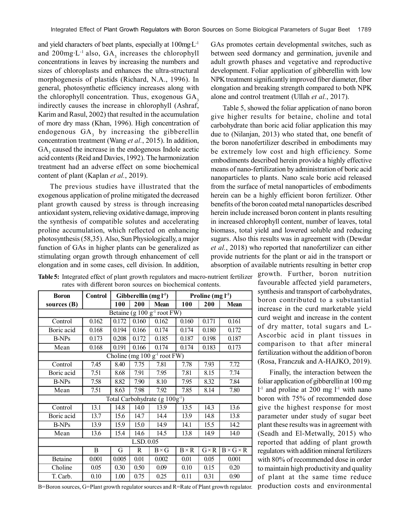and yield characters of beet plants, especially at 100mg·L-1 and 200mg·L<sup>-1</sup> also,  $GA_3$  increases the chlorophyll concentrations in leaves by increasing the numbers and sizes of chloroplasts and enhances the ultra-structural morphogenesis of plastids (Richard, N.A., 1996). In general, photosynthetic efficiency increases along with the chlorophyll concentration. Thus, exogenous  $GA_3$ indirectly causes the increase in chlorophyll (Ashraf, Karim and Rasul, 2002) that resulted in the accumulation of more dry mass (Khan, 1996). High concentration of endogenous  $GA_3$  by increasing the gibberellin concentration treatment (Wang *et al.*, 2015). In addition,  $GA<sub>3</sub>$  caused the increase in the endogenous Indole acetic acid contents (Reid and Davies, 1992). The harmonization treatment had an adverse effect on some biochemical content of plant (Kaplan *et al.*, 2019).

The previous studies have illustrated that the exogenous application of proline mitigated the decreased plant growth caused by stress is through increasing antioxidant system, relieving oxidative damage, improving the synthesis of compatible solutes and accelerating proline accumulation, which reflected on enhancing photosynthesis (58,35). Also, Sun Physiologically, a major function of GAs in higher plants can be generalized as stimulating organ growth through enhancement of cell elongation and in some cases, cell division. In addition, GAs promotes certain developmental switches, such as between seed dormancy and germination, juvenile and adult growth phases and vegetative and reproductive development. Foliar application of gibberellin with low NPK treatment significantly improved fiber diameter, fiber elongation and breaking strength compared to both NPK alone and control treatment (Ullah *et al.*, 2017).

Table 5, showed the foliar application of nano boron give higher results for betaine, choline and total carbohydrate than boric acid foliar application this may due to (Nilanjan, 2013) who stated that, one benefit of the boron nanofertilizer described in embodiments may be extremely low cost and high efficiency. Some embodiments described herein provide a highly effective means of nano-fertilization by administration of boric acid nanoparticles to plants. Nano scale boric acid released from the surface of metal nanoparticles of embodiments herein can be a highly efficient boron fertilizer. Other benefits of the boron coated metal nanoparticles described herein include increased boron content in plants resulting in increased chlorophyll content, number of leaves, total biomass, total yield and lowered soluble and reducing sugars. Also this results was in agreement with (Dewdar *et al.*, 2018) who reported that nanofertilizer can either provide nutrients for the plant or aid in the transport or absorption of available nutrients resulting in better crop

<sub>r</sub> growth. Further, boron nutrition favourable affected yield parameters, synthesis and transport of carbohydrates, boron contributed to a substantial increase in the curd marketable yield curd weight and increase in the content of dry matter, total sugars and L-Ascorbic acid in plant tissues in comparison to that after mineral fertilization without the addition of boron (Rosa, Franczuk and A-HAJKO, 2019).

Finally, the interaction between the foliar application of gibberellin at 100 mg  $l<sup>-1</sup>$  and proline at 200 mg  $l<sup>-1</sup>$  with nano boron with 75% of recommended dose give the highest response for most parameter under study of sugar beet plant these results was in agreement with (Seadh and El-Metwally, 2015) who reported that adding of plant growth regulators with addition mineral fertilizers with 80% of recommended dose in order to maintain high productivity and quality of plant at the same time reduce production costs and environmental

| <b>Table 5:</b> Integrated effect of plant growth regulators and macro-nutrient fertilizer |  |  |  |  |
|--------------------------------------------------------------------------------------------|--|--|--|--|
| rates with different boron sources on biochemical contents.                                |  |  |  |  |

| <b>Boron</b>                             | <b>Control</b> | Gibberellin $(mg l-1)$ |             |                                                 | Proline $(mg l-1)$ |              |                       |  |  |  |  |
|------------------------------------------|----------------|------------------------|-------------|-------------------------------------------------|--------------------|--------------|-----------------------|--|--|--|--|
| sources $(B)$                            |                | 100                    | 200         | Mean                                            | 100                | 200          | <b>Mean</b>           |  |  |  |  |
| Betaine (g $100 \text{ g}^{-1}$ root FW) |                |                        |             |                                                 |                    |              |                       |  |  |  |  |
| Control                                  | 0.162          | 0.172                  | 0.160       | 0.162                                           | 0.160              | 0.171        | 0.161                 |  |  |  |  |
| Boric acid                               | 0.168          | 0.194                  | 0.166       | 0.174                                           | 0.174              | 0.180        | 0.172                 |  |  |  |  |
| B-NPs                                    | 0.173          | 0.208                  | 0.172       | 0.185                                           | 0.187              | 0.198        | 0.187                 |  |  |  |  |
| Mean                                     | 0.168          | 0.191                  | 0.166       | 0.174                                           | 0.174              | 0.183        | 0.173                 |  |  |  |  |
|                                          |                |                        |             | Choline (mg 100 $g^{-1}$ root $\overline{FW}$ ) |                    |              |                       |  |  |  |  |
| Control                                  | 7.45           | 8.40                   | 7.75        | 7.81                                            | 7.78               | 7.93         | 7.72                  |  |  |  |  |
| Boric acid                               | 7.51           | 8.68                   | 7.91        | 7.95                                            | 7.81               | 8.15         | 7.74                  |  |  |  |  |
| <b>B-NPs</b>                             | 7.58           | 8.82                   | 7.90        | 8.10                                            | 7.95               | 8.32         | 7.84                  |  |  |  |  |
| Mean                                     | 7.51           | 8.63                   | 7.98        | 7.92                                            | 7.85               | 8.14         | 7.80                  |  |  |  |  |
|                                          |                |                        |             | Total Carbohydrate (g 100g <sup>-1</sup> )      |                    |              |                       |  |  |  |  |
| Control                                  | 13.1           | 14.8                   | 14.0        | 13.9                                            | 13.5               | 14.3         | 13.6                  |  |  |  |  |
| Boric acid                               | 13.7           | 15.6                   | 14.7        | 14.4                                            | 13.9               | 14.8         | 13.8                  |  |  |  |  |
| <b>B-NPs</b>                             | 13.9           | 15.9                   | 15.0        | 14.9                                            | 14.1               | 15.5         | 14.2                  |  |  |  |  |
| Mean                                     | 13.6           | 15.4                   | 14.6        | 14.5                                            | 13.8               | 14.9         | 14.0                  |  |  |  |  |
| LSD.0.05                                 |                |                        |             |                                                 |                    |              |                       |  |  |  |  |
|                                          | B              | G                      | $\mathbf R$ | $B \times G$                                    | $B \times R$       | $G \times R$ | $B \times G \times R$ |  |  |  |  |
| Betaine                                  | 0.001          | 0.005                  | 0.01        | 0.002                                           | 0.01               | 0.05         | 0.001                 |  |  |  |  |
| Choline                                  | 0.05           | 0.30                   | 0.50        | 0.09                                            | 0.10               | 0.15         | 0.20                  |  |  |  |  |
| T. Carb.                                 | 0.10           | 1.00                   | 0.75        | 0.25                                            | 0.11               | 0.31         | 0.90                  |  |  |  |  |
|                                          |                |                        |             |                                                 |                    |              |                       |  |  |  |  |

B=Boron sources, G=Plant growth regulator sources and R=Rate of Plant growth regulator.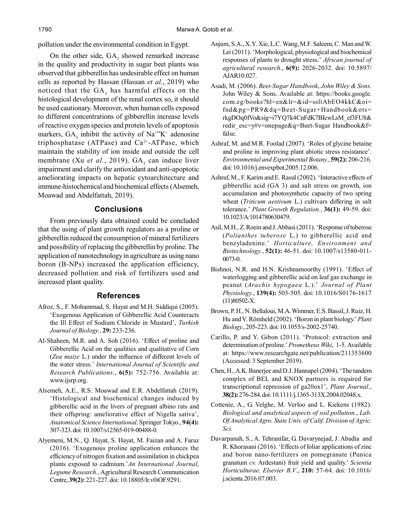pollution under the environmental condition in Egypt.

On the other side,  $GA_3$  showed remarked increase in the quality and productivity in sugar beet plants was observed that gibberellin has undesirable effect on human cells as reported by Hassan (Hassan *et al.*, 2019) who noticed that the  $GA_3$  has harmful effects on the histological development of the renal cortex so, it should be used cautionary. Moreover, when human cells exposed to different concentrations of gibberellin increase levels of reactive oxygen species and protein levels of apoptosis markers,  $GA_3$  inhibit the activity of  $Na^{+}K^+$  adenosine triphosphatase (ATPase) and  $Ca<sup>2+</sup>-ATPase$ , which maintain the stability of ion inside and outside the cell membrane (Xu *et al.*, 2019). GA<sub>3</sub> can induce liver impairment and clarify the antioxidant and anti-apoptotic ameliorating impacts on hepatic cytoarchitecture and immune-histochemical and biochemical effects (Alsemeh, Moawad and Abdelfattah, 2019).

## **Conclusions**

From previously data obtained could be concluded that the using of plant growth regulators as a proline or gibberellin reduced the consumption of mineral fertilizers and possibility of replacing the gibberellin by proline. The application of nanotechnology in agriculture as using nano boron (B-NPs) increased the application efficiency, decreased pollution and risk of fertilizers used and increased plant quality.

#### **References**

- Afroz, S., F. Mohammad, S. Hayat and M.H. Siddiqui (2005). 'Exogenous Application of Gibberellic Acid Counteracts the Ill Effect of Sodium Chloride in Mustard', *Turkish Journal of Biology.*, **29:** 233-236.
- Al-Shaheen, M.R. and A. Soh (2016). 'Effect of proline and Gibberellic Acid on the qualities and qualitative of Corn (*Zea maize* L.) under the influence of different levels of the water stress.' *International Journal of Scientific and Research Publications.*, **6(5):** 752-756. Available at: www.ijsrp.org.
- Alsemeh, A.E., R.S. Moawad and E.R. Abdelfattah (2019). 'Histological and biochemical changes induced by gibberellic acid in the livers of pregnant albino rats and their offspring: ameliorative effect of Nigella sativa', *Anatomical Science International*. Springer Tokyo., **94(4):** 307-323. doi: 10.1007/s12565-019-00488-0.
- Alyemeni, M.N., Q. Hayat, S. Hayat, M. Faizan and A. Faraz (2016). 'Exogenous proline application enhances the efficiency of nitrogen fixation and assimilation in chickpea plants exposed to cadmium.'*An International Journal, Legume Research.,* Agricultural Research Communication Centre, **39(2):** 221-227. doi: 10.18805/lr.v0iOF.9291.
- Anjum, S.A., X.Y. Xie, L.C. Wang, M.F. Saleem, C. Man and W. Lei (2011). 'Morphological, physiological and biochemical responses of plants to drought stress.' *African journal of agricultural research.*, **6(9):** 2026-2032. doi: 10.5897/ AJAR10.027.
- Asadi, M. (2006). *Beet-Sugar Handbook*, *John Wiley & Sons.* John Wiley & Sons. Available at: https://books.google. com.eg/books?hl=en&lr=&id=ssltAbEO4kkC&oi= fnd&pg=PR9&dq=Beet-Sugar+Handbook&ots= rkgDOq0fVo&sig=i7YQ7k4CnFdK7BIcwLsM\_ef3FU8& redir\_esc=y#v=onepage&q=Beet-Sugar Handbook&f= false.
- Ashraf, M. and M.R. Foolad (2007). 'Roles of glycine betaine and proline in improving plant abiotic stress resistance'. *Environmental and Experimental Botany.*, **59(2):** 206-216. doi: 10.1016/j.envexpbot.2005.12.006.
- Ashraf, M., F. Karim and E. Rasul (2002). 'Interactive effects of gibberellic acid (GA 3) and salt stress on growth, ion accumulation and photosynthetic capacity of two spring wheat (*Triticum aestivum* L.) cultivars differing in salt tolerance.' *Plant Growth Regulation.*, **36(1):** 49-59. doi: 10.1023/A:1014780630479.
- Asil, M.H., Z. Roein and J. Abbasi (2011). 'Response of tuberose (*Polianthes tuberose* L.) to gibberellic acid and benzyladenine.' *Horticulture, Environment and Biotechnology.*, **52(1):** 46-51. doi: 10.1007/s13580-011- 0073-0.
- Bishnoi, N.R. and H.N. Krishnamoorthy (1991). 'Effect of waterlogging and gibberellic acid on leaf gas exchange in peanut (*Arachis hypogaea* L.).' *Journal of Plant Physiology.*, **139(4):** 503-505. doi: 10.1016/S0176-1617 (11)80502-X.
- Brown, P. H., N. Bellaloui, M.A. Wimmer, E.S. Bassil, J. Ruiz, H. Hu and V. Römheld (2002). 'Boron in plant biology.' *Plant Biology.*, 205-223. doi: 10.1055/s-2002-25740.
- Carillo, P. and Y. Gibon (2011). 'Protocol: extraction and determination of proline.' *Prometheus Wiki*, 1-5. Available at: https://www.researchgate.net/publication/211353600 (Accessed: 3 September 2019).
- Chen, H., A.K. Banerjee and D.J. Hannapel (2004). 'The tandem complex of BEL and KNOX partners is required for transcriptional repression of ga20ox1', *Plant Journal.*, **38(2):** 276-284. doi: 10.1111/j.1365-313X.2004.02048.x.
- Cottenie, A., G. Velghe, M. Verloo and L. Kiekens (1982). *Biological and analytical aspects of soil pollution.*, *Lab. Of Analytical Agro. State Univ. of Calif. Division of Agric. Sci.*
- Davarpanah, S., A. Tehranifar, G. Davarynejad, J. Abadía and R. Khorasani (2016). 'Effects of foliar applications of zinc and boron nano-fertilizers on pomegranate (Punica granatum *cv.* Ardestani) fruit yield and quality.' *Scientia Horticulturae*. *Elsevier B.V*., **210:** 57-64. doi: 10.1016/ j.scienta.2016.07.003.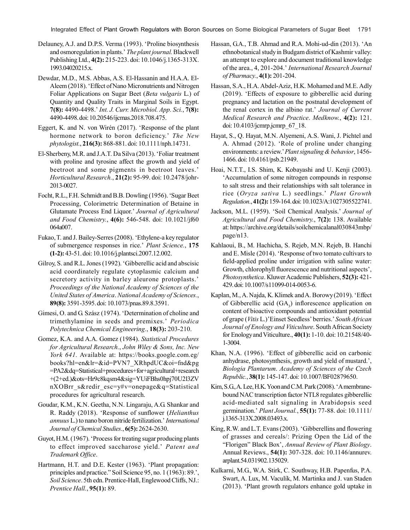Integrated Effect of Plant Growth Regulators with Boron Sources on Some Biological Parameters of Sugar Beet 1791

- Delauney, A.J. and D.P.S. Verma (1993). 'Proline biosynthesis and osmoregulation in plants.' *The plant journal.* Blackwell Publishing Ltd., **4(2):** 215-223. doi: 10.1046/j.1365-313X. 1993.04020215.x.
- Dewdar, M.D., M.S. Abbas, A.S. El-Hassanin and H.A.A. El-Aleem (2018). 'Effect of Nano Micronutrients and Nitrogen Foliar Applications on Sugar Beet (*Beta vulgaris* L.) of Quantity and Quality Traits in Marginal Soils in Egypt. **7(8):** 4490-4498.' *Int. J. Curr. Microbiol. App. Sci.*, **7(8):** 4490-4498. doi: 10.20546/ijcmas.2018.708.475.
- Eggert, K. and N. von Wirén (2017). 'Response of the plant hormone network to boron deficiency.' *The New phytologist.*, **216(3):** 868-881. doi: 10.1111/nph.14731.
- El-Sherbeny, M.R. and J.A.T. Da Silva (2013). 'Foliar treatment with proline and tyrosine affect the growth and yield of beetroot and some pigments in beetroot leaves.' *Horticultural Research.*, **21(2):** 95-99. doi: 10.2478/johr-2013-0027.
- Focht, R.L., F.H. Schmidt and B.B. Dowling (1956). 'Sugar Beet Processing, Colorimetric Determination of Betaine in Glutamate Process End Liquor.' *Journal of Agricultural and Food Chemistry.*, **4(6):** 546-548. doi: 10.1021/jf60 064a007.
- Fukao, T. and J. Bailey-Serres (2008). 'Ethylene-a key regulator of submergence responses in rice.' *Plant Science.*, **175 (1-2):** 43-51. doi: 10.1016/j.plantsci.2007.12.002.
- Gilroy, S. and R.L. Jones (1992). 'Gibberellic acid and abscisic acid coordinately regulate cytoplasmic calcium and secretory activity in barley aleurone protoplasts.' *Proceedings of the National Academy of Sciences of the United States of America*. *National Academy of Sciences.*, **89(8):** 3591-3595. doi: 10.1073/pnas.89.8.3591.
- Gimesi, O. and G. Szász (1974). 'Determination of choline and trimethylamine in seeds and premixes.' *Periodica Polytechnica Chemical Engineering.*, **18(3):** 203-210.
- Gomez, K.A. and A.A. Gomez (1984). *Statistical Procedures for Agricultural Research.*, *John Wiley & Sons, Inc. New York 641.* Available at: https://books.google.com.eg/ books?hl=en&lr=&id=PVN7\_XRhpdUC&oi=fnd&pg =PA2&dq=Statistical+procedures+for+agricultural+research +(2+ed.)&ots=Hr9c8kqsm4&sig=YUiFBhs0hpj70U2l3ZV nXOBrr s&redir esc=y#v=onepage&q=Statistical procedures for agricultural research.
- Goudar, K.M., K.N. Geetha, N.N. Lingaraju, A.G. Shankar and R. Raddy (2018). 'Response of sunflower (*Helianthus annuus* L.) to nano boron nitride fertilization.' *International Journal of Chemical Studies.*, **6(5):** 2624-2630.
- Guyot, H.M. (1967). 'Process for treating sugar producing plants to effect improved saccharose yield.' *Patent and Trademark Office*.
- Hartmann, H.T. and D.E. Kester (1963). 'Plant propagation: principles and practice." Soil Science 95, no. 1 (1963): 89.', *Soil Science*. 5th edn. Prentice-Hall, Englewood Cliffs, NJ.: *Prentice Hall.*, **95(1):** 89.
- Hassan, G.A., T.B. Ahmad and R.A. Mohi-ud-din (2013). 'An ethnobotanical study in Budgam district of Kashmir valley: an attempt to explore and document traditional knowledge of the area., 4, 201-204.' *International Research Journal of Pharmacy.*, **4(1):** 201-204.
- Hassan, S.A., H.A. Abdel-Aziz, H.K. Mohamed and M.E. Adly (2019). 'Effects of exposure to gibberellic acid during pregnancy and lactation on the postnatal development of the renal cortex in the albino rat.' *Journal of Current Medical Research and Practice*. *Medknow.*, **4(2):** 121. doi: 10.4103/jcmrp.jcmrp\_67\_18.
- Hayat, S., Q. Hayat, M.N. Alyemeni, A.S. Wani, J. Pichtel and A. Ahmad (2012). 'Role of proline under changing environments: a review.' *Plant signaling & behavior*, 1456- 1466. doi: 10.4161/psb.21949.
- Hoai, N.T.T., I.S. Shim, K. Kobayashi and U. Kenji (2003). 'Accumulation of some nitrogen compounds in response to salt stress and their relationships with salt tolerance in rice (*Oryza sativa* L.) seedlings.' *Plant Growth Regulation.*, **41(2):** 159-164. doi: 10.1023/A:1027305522741.
- Jackson, M.L. (1959). 'Soil Chemical Analysis.' *Journal of Agricultural and Food Chemistry.*, **7(2):** 138. Available at: https://archive.org/details/soilchemicalanal030843mbp/ page/n13.
- Kahlaoui, B., M. Hachicha, S. Rejeb, M.N. Rejeb, B. Hanchi and E. Misle (2014). 'Response of two tomato cultivars to field-applied proline under irrigation with saline water: Growth, chlorophyll fluorescence and nutritional aspects', *Photosynthetica*. Kluwer Academic Publishers, **52(3):** 421- 429. doi: 10.1007/s11099-014-0053-6.
- Kaplan, M., A. Najda, K. Klimek and A. Borowy (2019). 'Effect of Gibberellic acid  $(GA_3)$  inflorescence application on content of bioactive compounds and antioxidant potential of grape (*Vitis* L.)'Einset Seedless' berries.' *South African Journal of Enology and Viticulture*. South African Society for Enology and Viticulture., **40(1):** 1-10. doi: 10.21548/40- 1-3004.
- Khan, N.A. (1996). 'Effect of gibberellic acid on carbonic anhydrase, photosynthesis, growth and yield of mustard.', *Biologia Plantarum*. *Academy of Sciences of the Czech Republic.*, **38(1):** 145-147. doi: 10.1007/BF02879650.
- Kim, S.G., A. Lee, H.K. Yoon and C.M. Park (2008). 'A membranebound NAC transcription factor NTL8 regulates gibberellic acid-mediated salt signaling in Arabidopsis seed germination.' *Plant Journal.*, **55(1):** 77-88. doi: 10.1111/ j.1365-313X.2008.03493.x.
- King, R.W. and L.T. Evans (2003). 'Gibberellins and flowering of grasses and cereals/: Prizing Open the Lid of the "Florigen" Black Box', *Annual Review of Plant Biology*. Annual Reviews., **54(1):** 307-328. doi: 10.1146/annurev. arplant.54.031902.135029.
- Kulkarni, M.G., W.A. Stirk, C. Southway, H.B. Papenfus, P.A. Swart, A. Lux, M. Vaculík, M. Martinka and J. van Staden (2013). 'Plant growth regulators enhance gold uptake in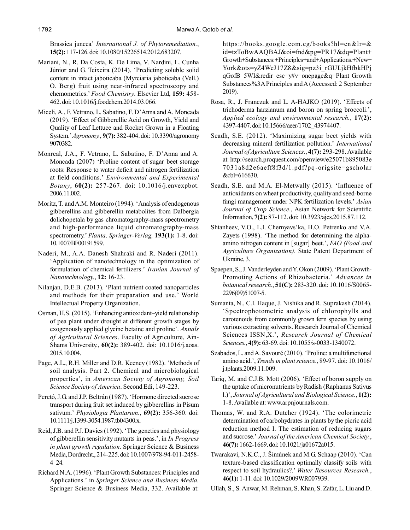Brassica juncea' *International J. of Phytoremediation.*, **15(2):** 117-126. doi: 10.1080/15226514.2012.683207.

- Mariani, N., R. Da Costa, K. De Lima, V. Nardini, L. Cunha Júnior and G. Teixeira (2014). 'Predicting soluble solid content in intact jaboticaba (Myrciaria jaboticaba (Vell.) O. Berg) fruit using near-infrared spectroscopy and chemometrics.' *Food Chemistry*. Elsevier Ltd, **159:** 458- 462. doi: 10.1016/j.foodchem.2014.03.066.
- Miceli, A., F. Vetrano, L. Sabatino, F. D'Anna and A. Moncada (2019). 'Effect of Gibberellic Acid on Growth, Yield and Quality of Leaf Lettuce and Rocket Grown in a Floating System.' *Agronomy.*, **9(7):** 382-404. doi: 10.3390/agronomy 9070382.
- Monreal, J.A., F. Vetrano, L. Sabatino, F. D'Anna and A. Moncada (2007) 'Proline content of sugar beet storage roots: Response to water deficit and nitrogen fertilization at field conditions.' *Environmental and Experimental Botany*, **60(2):** 257-267. doi: 10.1016/j.envexpbot. 2006.11.002.
- Moritz, T. and A.M. Monteiro (1994). 'Analysis of endogenous gibberellins and gibberellin metabolites from Dalbergia dolichopetala by gas chromatography-mass spectrometry and high-performance liquid chromatography-mass spectrometry.' *Planta*. *Springer-Verlag,* **193(1):** 1-8. doi: 10.1007/BF00191599.
- Naderi, M., A.A. Danesh Shahraki and R. Naderi (2011). 'Application of nanotechnology in the optimization of formulation of chemical fertilizers.' *Iranian Journal of Nanotechnology.*, **12:** 16-23.
- Nilanjan, D.E.B. (2013). 'Plant nutrient coated nanoparticles and methods for their preparation and use.' World Intellectual Property Organization.
- Osman, H.S. (2015). 'Enhancing antioxidant–yield relationship of pea plant under drought at different growth stages by exogenously applied glycine betaine and proline'. *Annals of Agricultural Sciences*. Faculty of Agriculture, Ain-Shams University., **60(2):** 389-402. doi: 10.1016/j.aoas. 2015.10.004.
- Page, A.L., R.H. Miller and D.R. Keeney (1982). 'Methods of soil analysis. Part 2. Chemical and microbiological properties', in *American Society of Agronomy, Soil Science Society of America*. Second Edi, 149-223.
- Peretó, J.G. and J.P. Beltrán (1987). 'Hormone directed sucrose transport during fruit set induced by gibberellins in Pisum sativum.' *Physiologia Plantarum.*, **69(2):** 356-360. doi: 10.1111/j.1399-3054.1987.tb04300.x.
- Reid, J.B. and P.J. Davies (1992). 'The genetics and physiology of gibberellin sensitivity mutants in peas.', in *In Progress in plant growth regulation.* Springer Science & Business Media, Dordrecht., 214-225. doi: 10.1007/978-94-011-2458- 4\_24.
- Richard N.A. (1996). 'Plant Growth Substances: Principles and Applications.' in *Springer Science and Business Media.* Springer Science & Business Media, 332. Available at:

https://books.google.com.eg/books?hl=en&lr=& id=tzToBwAAQBAJ&oi=fnd&pg=PR17&dq=Plant+ Growth+Substances:+Principles+and+Applications.+New+ York&ots=yZ4WeJ17Z8&sig=pz3i\_rGULjkHfbkHPj qGofB\_5WI&redir\_esc=y#v=onepage&q=Plant Growth Substances%3A Principles and A (Accessed: 2 September 2019).

- Rosa, R., J. Franczuk and L. A-HAJKO (2019). 'Effects of trichoderma harzianum and boron on spring broccoli.', *Applied ecology and environmental research.*, **17(2):** 4397-4407. doi: 10.15666/aeer/1702\_43974407.
- Seadh, S.E. (2012). 'Maximizing sugar beet yields with decreasing mineral fertilization pollution.' *International Journal of Agriculture Sciences.*, **4(7):** 293-298. Available at: http://search.proquest.com/openview/e25071b895083e 7031a8d2e6aeff8f3d/1.pdf?pq-origsite=gscholar &cbl=616630.
- Seadh, S.E. and M.A. El-Metwally (2015). 'Influence of antioxidants on wheat productivity, quality and seed-borne fungi management under NPK fertilization levels.' *Asian Journal of Crop Science*., Asian Network for Scientific Information, **7(2):** 87-112. doi: 10.3923/ajcs.2015.87.112.
- Shtanheev, V.O., L.I. Chernyavs'ka, H.O. Petrenko and V.A. Zayets (1998). 'The method for determining the alphaamino nitrogen content in [sugar] beet.', *FAO (Food and Agriculture Organization)*. State Patent Department of Ukraine, 3.
- Spaepen, S., J. Vanderleyden and Y. Okon (2009). 'Plant Growth-Promoting Actions of Rhizobacteria.' *Advances in botanical research.*, **51(C):** 283-320. doi: 10.1016/S0065- 2296(09)51007-5.
- Sumanta, N., C.I. Haque, J. Nishika and R. Suprakash (2014). 'Spectrophotometric analysis of chlorophylls and carotenoids from commonly grown fern species by using various extracting solvents. Research Journal of Chemical Sciences ISSN,X.', *Research Journal of Chemical Sciences.*, **4(9):** 63-69. doi: 10.1055/s-0033-1340072.
- Szabados, L. and A. Savouré (2010). 'Proline: a multifunctional amino acid.', *Trends in plant science.*, 89-97. doi: 10.1016/ j.tplants.2009.11.009.
- Tariq, M. and C.J.B. Mott (2006). 'Effect of boron supply on the uptake of micronutrients by Radish (Raphanus Sativus l.)', *Journal of Agricultural and Biological Science.*, **1(2):** 1-8. Available at: www.arpnjournals.com.
- Thomas, W. and R.A. Dutcher (1924). 'The colorimetric determination of carbohydrates in plants by the picric acid reduction method I. The estimation of reducing sugars and sucrose.' *Journal of the American Chemical Society.*, **46(7):** 1662-1669. doi: 10.1021/ja01672a015.
- Twarakavi, N.K.C., J. Šimùnek and M.G. Schaap (2010). 'Can texture-based classification optimally classify soils with respect to soil hydraulics?.' *Water Resources Research.*, **46(1):** 1-11. doi: 10.1029/2009WR007939.
- Ullah, S., S. Anwar, M. Rehman, S. Khan, S. Zafar, L. Liu and D.